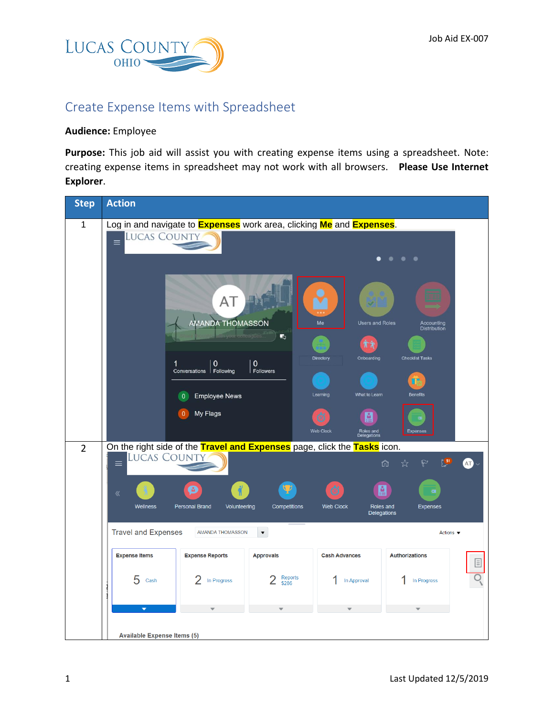

## Create Expense Items with Spreadsheet

## **Audience:** Employee

**Purpose:** This job aid will assist you with creating expense items using a spreadsheet. Note: creating expense items in spreadsheet may not work with all browsers. **Please Use Internet Explorer**.

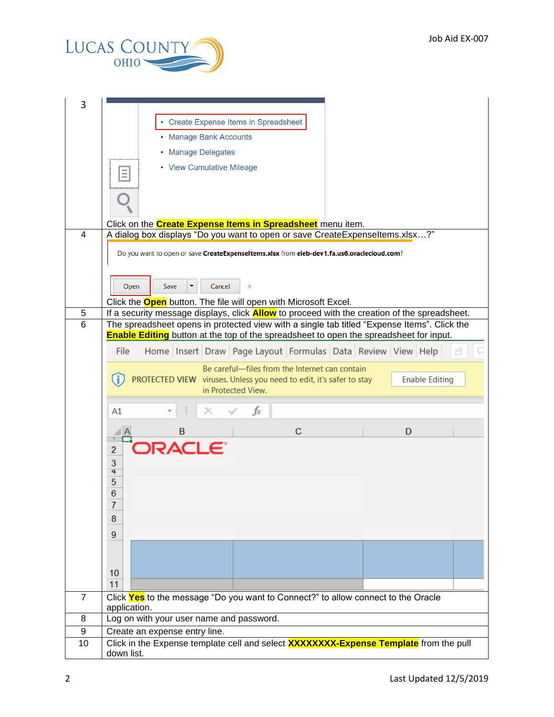

| 3      |                                                                                                                                                                                                    |  |  |  |  |  |  |  |  |  |
|--------|----------------------------------------------------------------------------------------------------------------------------------------------------------------------------------------------------|--|--|--|--|--|--|--|--|--|
|        | • Create Expense Items in Spreadsheet                                                                                                                                                              |  |  |  |  |  |  |  |  |  |
|        | • Manage Bank Accounts                                                                                                                                                                             |  |  |  |  |  |  |  |  |  |
|        |                                                                                                                                                                                                    |  |  |  |  |  |  |  |  |  |
|        | • Manage Delegates                                                                                                                                                                                 |  |  |  |  |  |  |  |  |  |
|        | • View Cumulative Mileage                                                                                                                                                                          |  |  |  |  |  |  |  |  |  |
|        |                                                                                                                                                                                                    |  |  |  |  |  |  |  |  |  |
|        | Click on the <b>Create Expense Items in Spreadsheet</b> menu item.                                                                                                                                 |  |  |  |  |  |  |  |  |  |
| 4      | A dialog box displays "Do you want to open or save CreateExpenseItems.xlsx?"                                                                                                                       |  |  |  |  |  |  |  |  |  |
|        | Do you want to open or save CreateExpenseItems.xlsx from eieb-dev1.fa.us6.oraclecloud.com?                                                                                                         |  |  |  |  |  |  |  |  |  |
|        | Open<br>Save<br>Cancel<br>×                                                                                                                                                                        |  |  |  |  |  |  |  |  |  |
|        | Click the <b>Open</b> button. The file will open with Microsoft Excel.                                                                                                                             |  |  |  |  |  |  |  |  |  |
| 5<br>6 | If a security message displays, click <b>Allow</b> to proceed with the creation of the spreadsheet.<br>The spreadsheet opens in protected view with a single tab titled "Expense Items". Click the |  |  |  |  |  |  |  |  |  |
|        | <b>Enable Editing</b> button at the top of the spreadsheet to open the spreadsheet for input.                                                                                                      |  |  |  |  |  |  |  |  |  |
|        | File<br>Home Insert Draw Page Layout Formulas Data Review View Help                                                                                                                                |  |  |  |  |  |  |  |  |  |
|        | Be careful—files from the Internet can contain                                                                                                                                                     |  |  |  |  |  |  |  |  |  |
|        | PROTECTED VIEW viruses. Unless you need to edit, it's safer to stay<br>Enable Editing<br>in Protected View.                                                                                        |  |  |  |  |  |  |  |  |  |
|        |                                                                                                                                                                                                    |  |  |  |  |  |  |  |  |  |
|        | fx<br>Α1                                                                                                                                                                                           |  |  |  |  |  |  |  |  |  |
|        | $\mathbf C$<br>B<br>D                                                                                                                                                                              |  |  |  |  |  |  |  |  |  |
|        | 5 VCLE.<br>$\overline{c}$                                                                                                                                                                          |  |  |  |  |  |  |  |  |  |
|        | 3                                                                                                                                                                                                  |  |  |  |  |  |  |  |  |  |
|        | 4<br>5                                                                                                                                                                                             |  |  |  |  |  |  |  |  |  |
|        | $\overline{6}$                                                                                                                                                                                     |  |  |  |  |  |  |  |  |  |
|        | 7                                                                                                                                                                                                  |  |  |  |  |  |  |  |  |  |
|        | 8                                                                                                                                                                                                  |  |  |  |  |  |  |  |  |  |
|        | 9                                                                                                                                                                                                  |  |  |  |  |  |  |  |  |  |
|        |                                                                                                                                                                                                    |  |  |  |  |  |  |  |  |  |
|        | 10                                                                                                                                                                                                 |  |  |  |  |  |  |  |  |  |
|        | 11                                                                                                                                                                                                 |  |  |  |  |  |  |  |  |  |
| 7      | Click Yes to the message "Do you want to Connect?" to allow connect to the Oracle                                                                                                                  |  |  |  |  |  |  |  |  |  |
| 8      | application.<br>Log on with your user name and password.                                                                                                                                           |  |  |  |  |  |  |  |  |  |
| 9      | Create an expense entry line.                                                                                                                                                                      |  |  |  |  |  |  |  |  |  |
| 10     | Click in the Expense template cell and select <b>XXXXXXXX-Expense Template</b> from the pull                                                                                                       |  |  |  |  |  |  |  |  |  |
|        | down list.                                                                                                                                                                                         |  |  |  |  |  |  |  |  |  |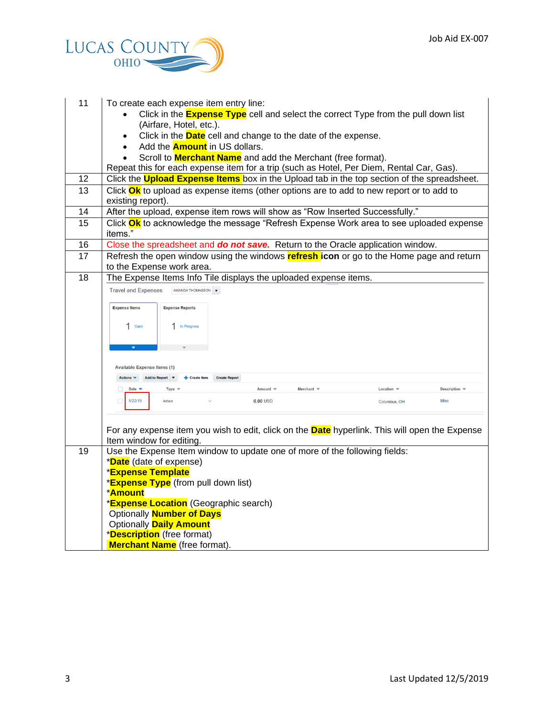

| 11 | To create each expense item entry line:                                                                                       |  |  |  |  |  |  |  |  |
|----|-------------------------------------------------------------------------------------------------------------------------------|--|--|--|--|--|--|--|--|
|    | Click in the <b>Expense Type</b> cell and select the correct Type from the pull down list<br>(Airfare, Hotel, etc.).          |  |  |  |  |  |  |  |  |
|    | Click in the <b>Date</b> cell and change to the date of the expense.                                                          |  |  |  |  |  |  |  |  |
|    | Add the <b>Amount</b> in US dollars.                                                                                          |  |  |  |  |  |  |  |  |
|    | Scroll to <b>Merchant Name</b> and add the Merchant (free format).                                                            |  |  |  |  |  |  |  |  |
|    | Repeat this for each expense item for a trip (such as Hotel, Per Diem, Rental Car, Gas).                                      |  |  |  |  |  |  |  |  |
| 12 | Click the <b>Upload Expense Items</b> box in the Upload tab in the top section of the spreadsheet.                            |  |  |  |  |  |  |  |  |
| 13 | Click Ok to upload as expense items (other options are to add to new report or to add to<br>existing report).                 |  |  |  |  |  |  |  |  |
| 14 | After the upload, expense item rows will show as "Row Inserted Successfully."                                                 |  |  |  |  |  |  |  |  |
| 15 | Click Ok to acknowledge the message "Refresh Expense Work area to see uploaded expense<br>items."                             |  |  |  |  |  |  |  |  |
| 16 | Close the spreadsheet and do not save. Return to the Oracle application window.                                               |  |  |  |  |  |  |  |  |
| 17 | Refresh the open window using the windows refresh icon or go to the Home page and return<br>to the Expense work area.         |  |  |  |  |  |  |  |  |
| 18 | The Expense Items Info Tile displays the uploaded expense items.                                                              |  |  |  |  |  |  |  |  |
|    | <b>Travel and Expenses</b><br>AMANDA THOMASSON <b>v</b>                                                                       |  |  |  |  |  |  |  |  |
|    | <b>Expense Items</b><br><b>Expense Reports</b>                                                                                |  |  |  |  |  |  |  |  |
|    |                                                                                                                               |  |  |  |  |  |  |  |  |
|    | $1$ Cash<br>1 In Progress                                                                                                     |  |  |  |  |  |  |  |  |
|    |                                                                                                                               |  |  |  |  |  |  |  |  |
|    | <b>Available Expense Items (1)</b>                                                                                            |  |  |  |  |  |  |  |  |
|    | Actions $\blacktriangledown$<br>Add to Report ▼<br>+ Create Item<br><b>Create Report</b>                                      |  |  |  |  |  |  |  |  |
|    | Merchant $\equiv$<br>Date $\blacktriangledown$<br>Location $\equiv$<br>Description $\equiv$<br>$\Box$<br>$Amount =$<br>Type 1 |  |  |  |  |  |  |  |  |
|    | 8/22/19<br>$\Box$<br>Airfare<br>$0.00$ USD<br>Misc<br>Columbus, OH                                                            |  |  |  |  |  |  |  |  |
|    |                                                                                                                               |  |  |  |  |  |  |  |  |
|    | For any expense item you wish to edit, click on the <b>Date</b> hyperlink. This will open the Expense                         |  |  |  |  |  |  |  |  |
|    | Item window for editing.                                                                                                      |  |  |  |  |  |  |  |  |
| 19 | Use the Expense Item window to update one of more of the following fields:                                                    |  |  |  |  |  |  |  |  |
|    | *Date (date of expense)                                                                                                       |  |  |  |  |  |  |  |  |
|    | <b>*Expense Template</b>                                                                                                      |  |  |  |  |  |  |  |  |
|    | *Expense Type (from pull down list)                                                                                           |  |  |  |  |  |  |  |  |
|    | <b>*Amount</b>                                                                                                                |  |  |  |  |  |  |  |  |
|    | * <b>Expense Location</b> (Geographic search)                                                                                 |  |  |  |  |  |  |  |  |
|    | Optionally <b>Number of Days</b><br><b>Optionally Daily Amount</b>                                                            |  |  |  |  |  |  |  |  |
|    | *Description (free format)                                                                                                    |  |  |  |  |  |  |  |  |
|    | <b>Merchant Name</b> (free format).                                                                                           |  |  |  |  |  |  |  |  |